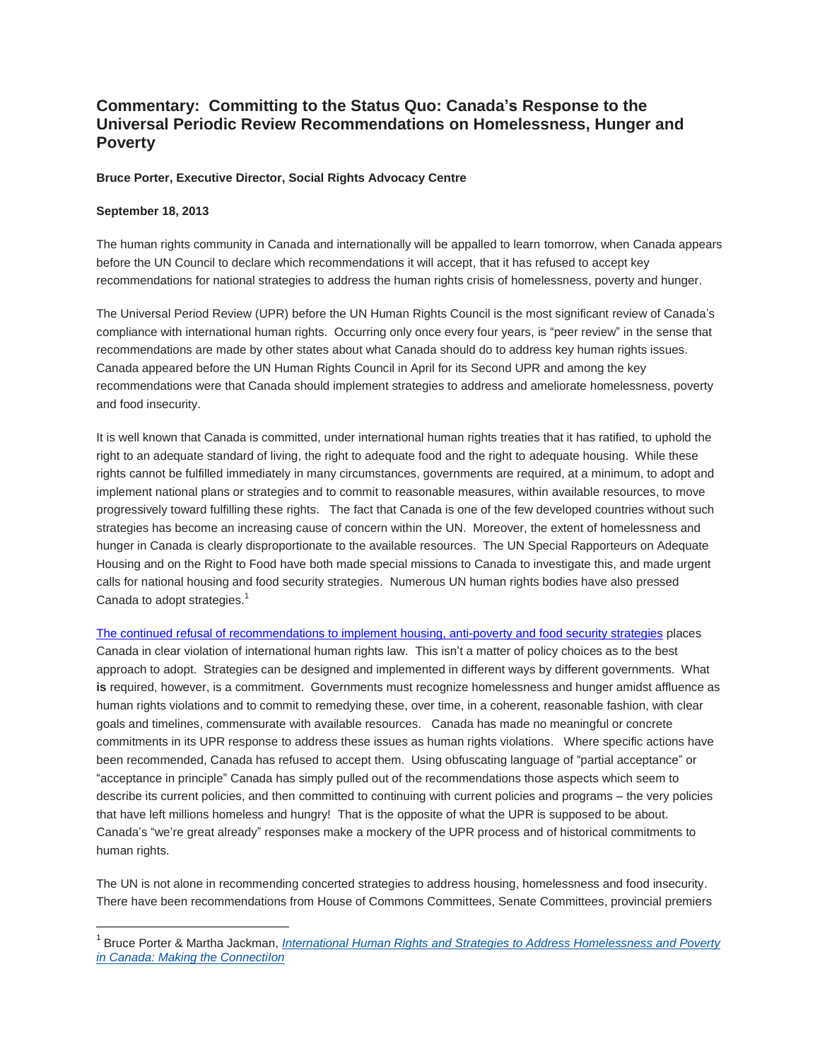## **Commentary: Committing to the Status Quo: Canada's Response to the Universal Periodic Review Recommendations on Homelessness, Hunger and Poverty**

## **Bruce Porter, Executive Director, Social Rights Advocacy Centre**

## **September 18, 2013**

 $\overline{a}$ 

The human rights community in Canada and internationally will be appalled to learn tomorrow, when Canada appears before the UN Council to declare which recommendations it will accept, that it has refused to accept key recommendations for national strategies to address the human rights crisis of homelessness, poverty and hunger.

The Universal Period Review (UPR) before the UN Human Rights Council is the most significant review of Canada's compliance with international human rights. Occurring only once every four years, is "peer review" in the sense that recommendations are made by other states about what Canada should do to address key human rights issues. Canada appeared before the UN Human Rights Council in April for its Second UPR and among the key recommendations were that Canada should implement strategies to address and ameliorate homelessness, poverty and food insecurity.

It is well known that Canada is committed, under international human rights treaties that it has ratified, to uphold the right to an adequate standard of living, the right to adequate food and the right to adequate housing. While these rights cannot be fulfilled immediately in many circumstances, governments are required, at a minimum, to adopt and implement national plans or strategies and to commit to reasonable measures, within available resources, to move progressively toward fulfilling these rights. The fact that Canada is one of the few developed countries without such strategies has become an increasing cause of concern within the UN. Moreover, the extent of homelessness and hunger in Canada is clearly disproportionate to the available resources. The UN Special Rapporteurs on Adequate Housing and on the Right to Food have both made special missions to Canada to investigate this, and made urgent calls for national housing and food security strategies. Numerous UN human rights bodies have also pressed Canada to adopt strategies. $1$ 

The continued [refusal of recommendations to implement housing, anti-poverty and food security strategies](http://socialrightscura.ca/eng/international-initiatives-upr-2013.html) places Canada in clear violation of international human rights law. This isn't a matter of policy choices as to the best approach to adopt. Strategies can be designed and implemented in different ways by different governments. What **is** required, however, is a commitment. Governments must recognize homelessness and hunger amidst affluence as human rights violations and to commit to remedying these, over time, in a coherent, reasonable fashion, with clear goals and timelines, commensurate with available resources. Canada has made no meaningful or concrete commitments in its UPR response to address these issues as human rights violations. Where specific actions have been recommended, Canada has refused to accept them. Using obfuscating language of "partial acceptance" or "acceptance in principle" Canada has simply pulled out of the recommendations those aspects which seem to describe its current policies, and then committed to continuing with current policies and programs – the very policies that have left millions homeless and hungry! That is the opposite of what the UPR is supposed to be about. Canada's "we're great already" responses make a mockery of the UPR process and of historical commitments to human rights.

The UN is not alone in recommending concerted strategies to address housing, homelessness and food insecurity. There have been recommendations from House of Commons Committees, Senate Committees, provincial premiers

<sup>1</sup> Bruce Porter & Martha Jackman, *International Human Rights and Strategies to Address [Homelessness](http://socialrightscura.ca/documents/publications/Porter-Jackman%20making%20the%20connection-can.pdf) and Poverty in Canada: Making the [ConnectiIon](http://socialrightscura.ca/documents/publications/Porter-Jackman%20making%20the%20connection-can.pdf)*